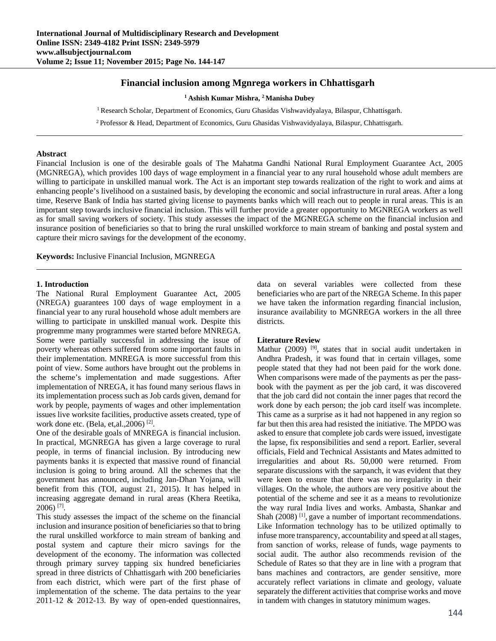# **Financial inclusion among Mgnrega workers in Chhattisgarh**

**1 Ashish Kumar Mishra, 2 Manisha Dubey** 

<sup>1</sup> Research Scholar, Department of Economics, Guru Ghasidas Vishwavidyalaya, Bilaspur, Chhattisgarh.

2 Professor & Head, Department of Economics, Guru Ghasidas Vishwavidyalaya, Bilaspur, Chhattisgarh.

#### **Abstract**

Financial Inclusion is one of the desirable goals of The Mahatma Gandhi National Rural Employment Guarantee Act, 2005 (MGNREGA), which provides 100 days of wage employment in a financial year to any rural household whose adult members are willing to participate in unskilled manual work. The Act is an important step towards realization of the right to work and aims at enhancing people's livelihood on a sustained basis, by developing the economic and social infrastructure in rural areas. After a long time, Reserve Bank of India has started giving license to payments banks which will reach out to people in rural areas. This is an important step towards inclusive financial inclusion. This will further provide a greater opportunity to MGNREGA workers as well as for small saving workers of society. This study assesses the impact of the MGNREGA scheme on the financial inclusion and insurance position of beneficiaries so that to bring the rural unskilled workforce to main stream of banking and postal system and capture their micro savings for the development of the economy.

**Keywords:** Inclusive Financial Inclusion, MGNREGA

#### **1. Introduction**

The National Rural Employment Guarantee Act, 2005 (NREGA) guarantees 100 days of wage employment in a financial year to any rural household whose adult members are willing to participate in unskilled manual work. Despite this progremme many programmes were started before MNREGA. Some were partially successful in addressing the issue of poverty whereas others suffered from some important faults in their implementation. MNREGA is more successful from this point of view. Some authors have brought out the problems in the scheme's implementation and made suggestions. After implementation of NREGA, it has found many serious flaws in its implementation process such as Job cards given, demand for work by people, payments of wages and other implementation issues live worksite facilities, productive assets created, type of work done etc. (Bela, et,al.,2006) [2].

One of the desirable goals of MNREGA is financial inclusion. In practical, MGNREGA has given a large coverage to rural people, in terms of financial inclusion. By introducing new payments banks it is expected that massive round of financial inclusion is going to bring around. All the schemes that the government has announced, including Jan-Dhan Yojana, will benefit from this (TOI, august 21, 2015). It has helped in increasing aggregate demand in rural areas (Khera Reetika, 2006) [7].

This study assesses the impact of the scheme on the financial inclusion and insurance position of beneficiaries so that to bring the rural unskilled workforce to main stream of banking and postal system and capture their micro savings for the development of the economy. The information was collected through primary survey tapping six hundred beneficiaries spread in three districts of Chhattisgarh with 200 beneficiaries from each district, which were part of the first phase of implementation of the scheme. The data pertains to the year 2011-12 & 2012-13. By way of open-ended questionnaires, data on several variables were collected from these beneficiaries who are part of the NREGA Scheme. In this paper we have taken the information regarding financial inclusion, insurance availability to MGNREGA workers in the all three districts.

#### **Literature Review**

Mathur (2009) <sup>[9]</sup>, states that in social audit undertaken in Andhra Pradesh, it was found that in certain villages, some people stated that they had not been paid for the work done. When comparisons were made of the payments as per the passbook with the payment as per the job card, it was discovered that the job card did not contain the inner pages that record the work done by each person; the job card itself was incomplete. This came as a surprise as it had not happened in any region so far but then this area had resisted the initiative. The MPDO was asked to ensure that complete job cards were issued, investigate the lapse, fix responsibilities and send a report. Earlier, several officials, Field and Technical Assistants and Mates admitted to irregularities and about Rs. 50,000 were returned. From separate discussions with the sarpanch, it was evident that they were keen to ensure that there was no irregularity in their villages. On the whole, the authors are very positive about the potential of the scheme and see it as a means to revolutionize the way rural India lives and works. Ambasta, Shankar and Shah (2008)<sup>[1]</sup>, gave a number of important recommendations. Like Information technology has to be utilized optimally to infuse more transparency, accountability and speed at all stages, from sanction of works, release of funds, wage payments to social audit. The author also recommends revision of the Schedule of Rates so that they are in line with a program that bans machines and contractors, are gender sensitive, more accurately reflect variations in climate and geology, valuate separately the different activities that comprise works and move in tandem with changes in statutory minimum wages.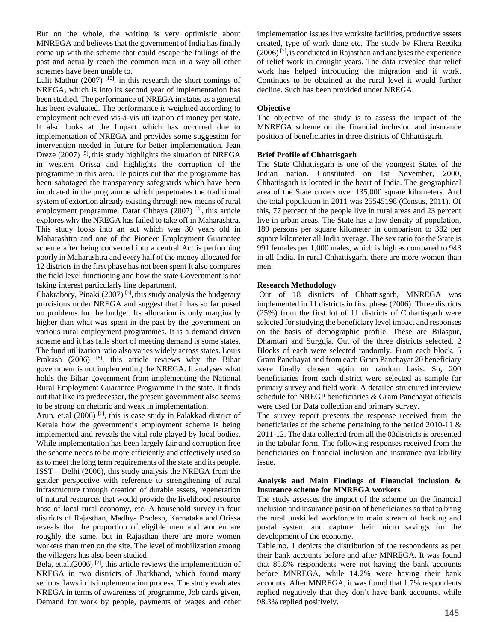But on the whole, the writing is very optimistic about MNREGA and believes that the government of India has finally come up with the scheme that could escape the failings of the past and actually reach the common man in a way all other schemes have been unable to.

Lalit Mathur  $(2007)$ <sup>[10]</sup>, in this research the short comings of NREGA, which is into its second year of implementation has been studied. The performance of NREGA in states as a general has been evaluated. The performance is weighted according to employment achieved vis-à-vis utilization of money per state. It also looks at the Impact which has occurred due to implementation of NREGA and provides some suggestion for intervention needed in future for better implementation. Jean Dreze (2007)<sup>[5]</sup>, this study highlights the situation of NREGA in western Orissa and highlights the corruption of the programme in this area. He points out that the programme has been sabotaged the transparency safeguards which have been inculcated in the programme which perpetuates the traditional system of extortion already existing through new means of rural employment programme. Datar Chhaya (2007)<sup>[4]</sup>, this article explores why the NREGA has failed to take off in Maharashtra. This study looks into an act which was 30 years old in Maharashtra and one of the Pioneer Employment Guarantee scheme after being converted into a central Act is performing poorly in Maharashtra and every half of the money allocated for 12 districts in the first phase has not been spent It also compares the field level functioning and how the state Government is not taking interest particularly line department.

Chakrabory, Pinaki (2007) [3], this study analysis the budgetary provisions under NREGA and suggest that it has so far posed no problems for the budget. Its allocation is only marginally higher than what was spent in the past by the government on various rural employment programmes. It is a demand driven scheme and it has falls short of meeting demand is some states. The fund utilization ratio also varies widely across states. Louis Prakash (2006)  $^{[8]}$ , this article reviews why the Bihar government is not implementing the NREGA. It analyses what holds the Bihar government from implementing the National Rural Employment Guarantee Programme in the state. It finds out that like its predecessor, the present government also seems to be strong on rhetoric and weak in implementation.

Arun, et.al  $(2006)$  [6], this is case study in Palakkad district of Kerala how the government's employment scheme is being implemented and reveals the vital role played by local bodies. While implementation has been largely fair and corruption free the scheme needs to be more efficiently and effectively used so as to meet the long term requirements of the state and its people. ISST – Delhi (2006), this study analysis the NREGA from the gender perspective with reference to strengthening of rural infrastructure through creation of durable assets, regeneration of natural resources that would provide the livelihood resource base of local rural economy, etc. A household survey in four districts of Rajasthan, Madhya Pradesh, Karnataka and Orissa reveals that the proportion of eligible men and women are roughly the same, but in Rajasthan there are more women workers than men on the site. The level of mobilization among the villagers has also been studied.

Bela, et,al. $(2006)$ <sup>[2]</sup>, this article reviews the implementation of NREGA in two districts of Jharkhand, which found many serious flaws in its implementation process. The study evaluates NREGA in terms of awareness of programme, Job cards given, Demand for work by people, payments of wages and other implementation issues live worksite facilities, productive assets created, type of work done etc. The study by Khera Reetika  $(2006)$ <sup>[7]</sup>, is conducted in Rajasthan and analyses the experience of relief work in drought years. The data revealed that relief work has helped introducing the migration and if work. Continues to be obtained at the rural level it would further decline. Such has been provided under NREGA.

# **Objective**

The objective of the study is to assess the impact of the MNREGA scheme on the financial inclusion and insurance position of beneficiaries in three districts of Chhattisgarh.

# **Brief Profile of Chhattisgarh**

The State Chhattisgarh is one of the youngest States of the Indian nation. Constituted on 1st November, 2000, Chhattisgarh is located in the heart of India. The geographical area of the State covers over 135,000 square kilometers. And the total population in 2011 was 25545198 (Census, 2011). Of this, 77 percent of the people live in rural areas and 23 percent live in urban areas. The State has a low density of population, 189 persons per square kilometer in comparison to 382 per square kilometer all India average. The sex ratio for the State is 991 females per 1,000 males, which is high as compared to 943 in all India. In rural Chhattisgarh, there are more women than men.

## **Research Methodology**

 Out of 18 districts of Chhattisgarh, MNREGA was implemented in 11 districts in first phase (2006). Three districts (25%) from the first lot of 11 districts of Chhattisgarh were selected for studying the beneficiary level impact and responses on the basis of demographic profile. These are Bilaspur, Dhamtari and Surguja. Out of the three districts selected, 2 Blocks of each were selected randomly. From each block, 5 Gram Panchayat and from each Gram Panchayat 20 beneficiary were finally chosen again on random basis. So, 200 beneficiaries from each district were selected as sample for primary survey and field work. A detailed structured interview schedule for NREGP beneficiaries & Gram Panchayat officials were used for Data collection and primary survey.

The survey report presents the response received from the beneficiaries of the scheme pertaining to the period 2010-11 & 2011-12. The data collected from all the 03districts is presented in the tabular form. The following responses received from the beneficiaries on financial inclusion and insurance availability issue.

## **Analysis and Main Findings of Financial inclusion & Insurance scheme for MNREGA workers**

The study assesses the impact of the scheme on the financial inclusion and insurance position of beneficiaries so that to bring the rural unskilled workforce to main stream of banking and postal system and capture their micro savings for the development of the economy.

Table no. 1 depicts the distribution of the respondents as per their bank accounts before and after MNREGA. It was found that 85.8% respondents were not having the bank accounts before MNREGA, while 14.2% were having their bank accounts. After MNREGA, it was found that 1.7% respondents replied negatively that they don't have bank accounts, while 98.3% replied positively.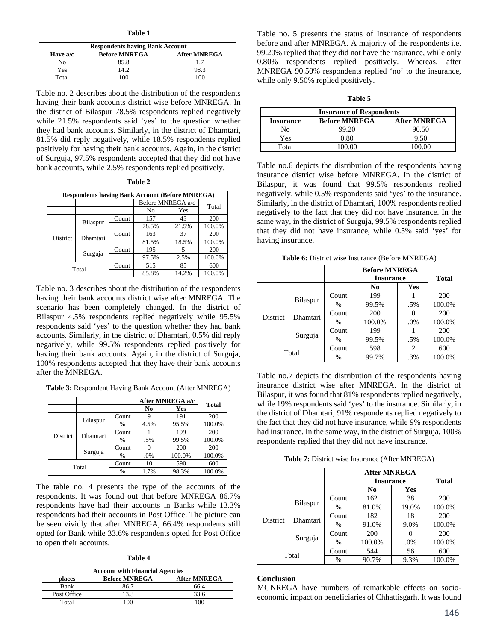| н<br>н<br>п |  |
|-------------|--|
|-------------|--|

| <b>Respondents having Bank Account</b>                  |      |  |  |  |  |  |
|---------------------------------------------------------|------|--|--|--|--|--|
| <b>Before MNREGA</b><br><b>After MNREGA</b><br>Have a/c |      |  |  |  |  |  |
| Nο                                                      | 85.8 |  |  |  |  |  |
| Yes                                                     |      |  |  |  |  |  |
| Total                                                   |      |  |  |  |  |  |

Table no. 2 describes about the distribution of the respondents having their bank accounts district wise before MNREGA. In the district of Bilaspur 78.5% respondents replied negatively while 21.5% respondents said 'yes' to the question whether they had bank accounts. Similarly, in the district of Dhamtari, 81.5% did reply negatively, while 18.5% respondents replied positively for having their bank accounts. Again, in the district of Surguja, 97.5% respondents accepted that they did not have bank accounts, while 2.5% respondents replied positively.

| г<br>L |  |
|--------|--|
|--------|--|

| <b>Respondents having Bank Account (Before MNREGA)</b> |          |       |                   |       |        |  |
|--------------------------------------------------------|----------|-------|-------------------|-------|--------|--|
|                                                        |          |       | Before MNREGA a/c |       | Total  |  |
|                                                        |          |       | No                | Yes   |        |  |
|                                                        | Bilaspur | Count | 157               | 43    | 200    |  |
| <b>District</b>                                        |          |       | 78.5%             | 21.5% | 100.0% |  |
|                                                        | Dhamtari | Count | 163               | 37    | 200    |  |
|                                                        |          |       | 81.5%             | 18.5% | 100.0% |  |
|                                                        | Surguja  | Count | 195               | 5     | 200    |  |
|                                                        |          |       | 97.5%             | 2.5%  | 100.0% |  |
| Total                                                  |          | Count | 515               | 85    | 600    |  |
|                                                        |          |       | 85.8%             | 14.2% | 100.0% |  |

Table no. 3 describes about the distribution of the respondents having their bank accounts district wise after MNREGA. The scenario has been completely changed. In the district of Bilaspur 4.5% respondents replied negatively while 95.5% respondents said 'yes' to the question whether they had bank accounts. Similarly, in the district of Dhamtari, 0.5% did reply negatively, while 99.5% respondents replied positively for having their bank accounts. Again, in the district of Surguja, 100% respondents accepted that they have their bank accounts after the MNREGA.

**Table 3:** Respondent Having Bank Account (After MNREGA)

|                 |          |       | After MNREGA a/c |        |              |  |
|-----------------|----------|-------|------------------|--------|--------------|--|
|                 |          |       | No               | Yes    | <b>Total</b> |  |
|                 | Bilaspur | Count |                  | 191    | 200          |  |
| <b>District</b> |          | $\%$  | 4.5%             | 95.5%  | 100.0%       |  |
|                 | Dhamtari | Count |                  | 199    | 200          |  |
|                 |          | $\%$  | .5%              | 99.5%  | 100.0%       |  |
|                 | Surguja  | Count |                  | 200    | 200          |  |
|                 |          | $\%$  | .0%              | 100.0% | 100.0%       |  |
| Total           |          | Count | 10               | 590    | 600          |  |
|                 |          | $\%$  | 1.7%             | 98.3%  | 100.0%       |  |

The table no. 4 presents the type of the accounts of the respondents. It was found out that before MNREGA 86.7% respondents have had their accounts in Banks while 13.3% respondents had their accounts in Post Office. The picture can be seen vividly that after MNREGA, 66.4% respondents still opted for Bank while 33.6% respondents opted for Post Office to open their accounts.

**Table 4**

| <b>Account with Financial Agencies</b>                |      |      |  |  |  |  |
|-------------------------------------------------------|------|------|--|--|--|--|
| <b>Before MNREGA</b><br><b>After MNREGA</b><br>places |      |      |  |  |  |  |
| Bank                                                  | 86.7 | 66.4 |  |  |  |  |
| Post Office                                           | 13.3 | 33.6 |  |  |  |  |
| Total                                                 |      |      |  |  |  |  |

Table no. 5 presents the status of Insurance of respondents before and after MNREGA. A majority of the respondents i.e. 99.20% replied that they did not have the insurance, while only 0.80% respondents replied positively. Whereas, after MNREGA 90.50% respondents replied 'no' to the insurance, while only 9.50% replied positively.

| anı<br>۱<br>ı |  |
|---------------|--|
|---------------|--|

| <b>Insurance of Respondents</b>                                 |             |        |  |  |  |  |
|-----------------------------------------------------------------|-------------|--------|--|--|--|--|
| <b>Before MNREGA</b><br><b>After MNREGA</b><br><b>Insurance</b> |             |        |  |  |  |  |
| Nο                                                              | 99.20       | 90.50  |  |  |  |  |
| Yes                                                             | $^{(1.80)}$ | 9.50   |  |  |  |  |
| Total                                                           |             | 100.00 |  |  |  |  |

Table no.6 depicts the distribution of the respondents having insurance district wise before MNREGA. In the district of Bilaspur, it was found that 99.5% respondents replied negatively, while 0.5% respondents said 'yes' to the insurance. Similarly, in the district of Dhamtari, 100% respondents replied negatively to the fact that they did not have insurance. In the same way, in the district of Surguja, 99.5% respondents replied that they did not have insurance, while 0.5% said 'yes' for having insurance.

**Table 6:** District wise Insurance (Before MNREGA)

|                 |          |       | <b>Before MNREGA</b><br><b>Insurance</b> |        | <b>Total</b> |
|-----------------|----------|-------|------------------------------------------|--------|--------------|
|                 |          |       | N <sub>0</sub>                           | Yes    |              |
| <b>District</b> | Bilaspur | Count | 199                                      |        | 200          |
|                 |          | %     | 99.5%                                    | .5%    | 100.0%       |
|                 | Dhamtari | Count | <b>200</b>                               |        | <b>200</b>   |
|                 |          | %     | 100.0%                                   | $.0\%$ | 100.0%       |
|                 | Surguja  | Count | 199                                      |        | 200          |
|                 |          | %     | 99.5%                                    | .5%    | 100.0%       |
| Total           |          | Count | 598                                      | 2      | 600          |
|                 |          | %     | 99.7%                                    | .3%    | 100.0%       |

Table no.7 depicts the distribution of the respondents having insurance district wise after MNREGA. In the district of Bilaspur, it was found that 81% respondents replied negatively, while 19% respondents said 'yes' to the insurance. Similarly, in the district of Dhamtari, 91% respondents replied negatively to the fact that they did not have insurance, while 9% respondents had insurance. In the same way, in the district of Surguja, 100% respondents replied that they did not have insurance.

**Table 7:** District wise Insurance (After MNREGA)

|                                                    |       |       | <b>After MNREGA</b><br><b>Insurance</b> |       | <b>Total</b> |
|----------------------------------------------------|-------|-------|-----------------------------------------|-------|--------------|
|                                                    |       |       | No                                      | Yes   |              |
| Bilaspur<br><b>District</b><br>Dhamtari<br>Surguja | Count | 162   | 38                                      | 200   |              |
|                                                    |       | %     | 81.0%                                   | 19.0% | 100.0%       |
|                                                    |       | Count | 182                                     | 18    | 200          |
|                                                    |       | %     | 91.0%                                   | 9.0%  | 100.0%       |
|                                                    |       | Count | 200                                     |       | 200          |
|                                                    |       | %     | 100.0%                                  | .0%   | 100.0%       |
| Total                                              |       | Count | 544                                     | 56    | 600          |
|                                                    |       | %     | 90.7%                                   | 9.3%  | 100.0%       |

### **Conclusion**

MGNREGA have numbers of remarkable effects on socioeconomic impact on beneficiaries of Chhattisgarh. It was found